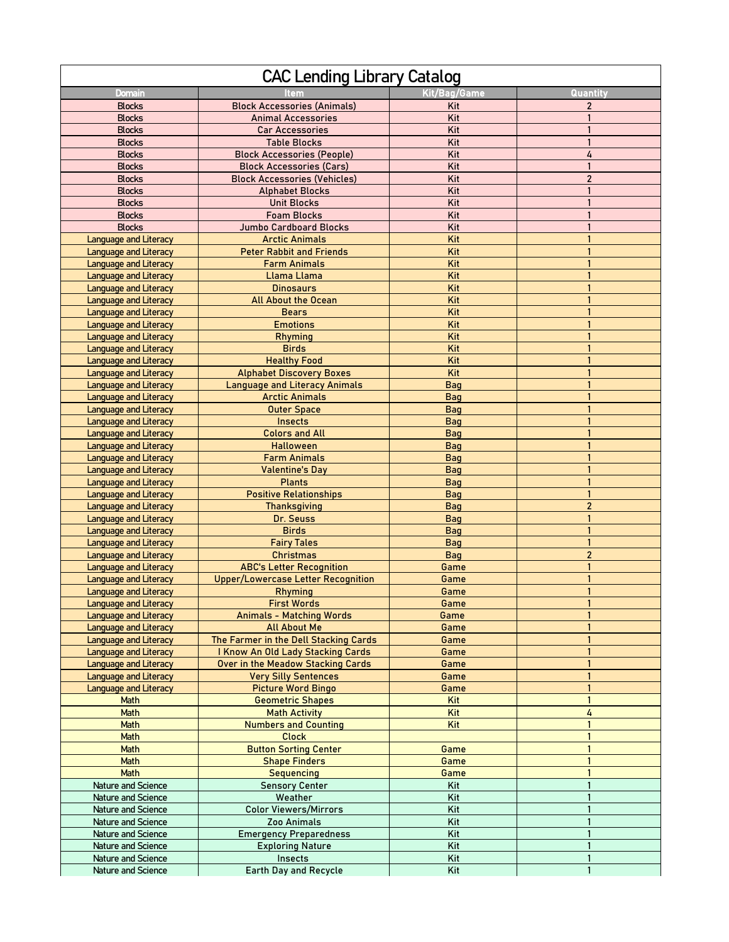| <b>CAC Lending Library Catalog</b>                           |                                           |                   |                              |  |
|--------------------------------------------------------------|-------------------------------------------|-------------------|------------------------------|--|
| Domain                                                       |                                           | Kit/Bag/Game      | Quantity                     |  |
| <b>Blocks</b>                                                | <b>Block Accessories (Animals)</b>        | Kit               | $\overline{c}$               |  |
| <b>Blocks</b>                                                | <b>Animal Accessories</b>                 | Kit               |                              |  |
| <b>Blocks</b>                                                | Car Accessories                           | Kit               |                              |  |
| <b>Blocks</b>                                                | <b>Table Blocks</b>                       | Kit               | $\mathbf{1}$                 |  |
| <b>Blocks</b>                                                | <b>Block Accessories (People)</b>         | Kit               | 4                            |  |
| <b>Blocks</b>                                                | <b>Block Accessories (Cars)</b>           | Kit               | $\mathbf{1}$                 |  |
| <b>Blocks</b>                                                | <b>Block Accessories (Vehicles)</b>       | Kit               | $\overline{2}$               |  |
| <b>Blocks</b>                                                | <b>Alphabet Blocks</b>                    | Kit               |                              |  |
| <b>Blocks</b>                                                | <b>Unit Blocks</b>                        | Kit               | 1                            |  |
| <b>Blocks</b>                                                | <b>Foam Blocks</b>                        | Kit               |                              |  |
| <b>Blocks</b>                                                | <b>Jumbo Cardboard Blocks</b>             | Kit               | $\mathbf{1}$                 |  |
| <b>Language and Literacy</b>                                 | <b>Arctic Animals</b>                     | Kit               |                              |  |
| <b>Language and Literacy</b>                                 | <b>Peter Rabbit and Friends</b>           | Kit               |                              |  |
| <b>Language and Literacy</b>                                 | <b>Farm Animals</b>                       | Kit               | $\mathbf{1}$                 |  |
| <b>Language and Literacy</b>                                 | Llama Llama                               | Kit               | $\mathbf{1}$                 |  |
| Language and Literacy                                        | <b>Dinosaurs</b>                          | Kit               | $\mathbf{1}$                 |  |
| Language and Literacy                                        | <b>All About the Ocean</b>                | Kit               |                              |  |
| <b>Language and Literacy</b>                                 | <b>Bears</b>                              | Kit               | $\mathbf{1}$                 |  |
| <b>Language and Literacy</b>                                 | <b>Emotions</b>                           | Kit               | $\mathbf{1}$                 |  |
| <b>Language and Literacy</b>                                 | <b>Rhyming</b>                            | Kit               | $\mathbf{1}$                 |  |
| <b>Language and Literacy</b>                                 | <b>Birds</b>                              | Kit               | $\mathbf{1}$                 |  |
| <b>Language and Literacy</b>                                 | <b>Healthy Food</b>                       | Kit               | $\mathbf{1}$                 |  |
| Language and Literacy                                        | <b>Alphabet Discovery Boxes</b>           | Kit               | $\mathbf{1}$<br>$\mathbf{1}$ |  |
| <b>Language and Literacy</b>                                 | <b>Language and Literacy Animals</b>      | <b>Bag</b>        |                              |  |
| <b>Language and Literacy</b>                                 | <b>Arctic Animals</b>                     | Bag               | $\mathbf{1}$<br>$\mathbf{1}$ |  |
| Language and Literacy                                        | <b>Outer Space</b>                        | Bag               | $\mathbf{1}$                 |  |
| <b>Language and Literacy</b>                                 | <b>Insects</b><br><b>Colors and All</b>   | <b>Bag</b>        | $\mathbf{1}$                 |  |
| Language and Literacy                                        | <b>Halloween</b>                          | Bag               | $\mathbf{1}$                 |  |
| <b>Language and Literacy</b>                                 | <b>Farm Animals</b>                       | Bag               | $\mathbf{1}$                 |  |
| <b>Language and Literacy</b>                                 |                                           | Bag               | $\mathbf{1}$                 |  |
| <b>Language and Literacy</b><br><b>Language and Literacy</b> | <b>Valentine's Day</b><br><b>Plants</b>   | Bag<br><b>Bag</b> | $\mathbf{1}$                 |  |
| Language and Literacy                                        | <b>Positive Relationships</b>             | Bag               | $\mathbf{1}$                 |  |
| <b>Language and Literacy</b>                                 | <b>Thanksgiving</b>                       | Bag               | $\overline{c}$               |  |
| <b>Language and Literacy</b>                                 | Dr. Seuss                                 | <b>Bag</b>        | $\mathbf{1}$                 |  |
| <b>Language and Literacy</b>                                 | <b>Birds</b>                              | Bag               | $\mathbf{1}$                 |  |
| Language and Literacy                                        | <b>Fairy Tales</b>                        | <b>Bag</b>        | $\mathbf{1}$                 |  |
| <b>Language and Literacy</b>                                 | <b>Christmas</b>                          | Bag               | $\overline{2}$               |  |
| <b>Language and Literacy</b>                                 | <b>ABC's Letter Recognition</b>           | Game              | $\mathbf{1}$                 |  |
| <b>Language and Literacy</b>                                 | <b>Upper/Lowercase Letter Recognition</b> | Game              | $\mathbf{1}$                 |  |
| <b>Language and Literacy</b>                                 | <b>Rhyming</b>                            | Game              | $\mathbf{1}$                 |  |
| <b>Language and Literacy</b>                                 | <b>First Words</b>                        | Game              |                              |  |
| <b>Language and Literacy</b>                                 | <b>Animals - Matching Words</b>           | Game              |                              |  |
| Language and Literacy                                        | <b>All About Me</b>                       | Game              |                              |  |
| <b>Language and Literacy</b>                                 | The Farmer in the Dell Stacking Cards     | Game              | $\mathbf{1}$                 |  |
| Language and Literacy                                        | I Know An Old Lady Stacking Cards         | Game              | $\mathbf{1}$                 |  |
| <b>Language and Literacy</b>                                 | Over in the Meadow Stacking Cards         | Game              | $\mathbf{1}$                 |  |
| <b>Language and Literacy</b>                                 | <b>Very Silly Sentences</b>               | Game              | $\mathbf{1}$                 |  |
| Language and Literacy                                        | <b>Picture Word Bingo</b>                 | Game              | $\mathbf{1}$                 |  |
| Math                                                         | <b>Geometric Shapes</b>                   | Kit               | $\mathbf{1}$                 |  |
| Math                                                         | <b>Math Activity</b>                      | Kit               | 4                            |  |
| Math                                                         | <b>Numbers and Counting</b>               | Kit               | $\mathbf{1}$                 |  |
| Math                                                         | <b>Clock</b>                              |                   | $\mathbf{1}$                 |  |
| <b>Math</b>                                                  | <b>Button Sorting Center</b>              | Game              | $\mathbf{1}$                 |  |
| Math                                                         | <b>Shape Finders</b>                      | Game              | $\mathbf{1}$                 |  |
| <b>Math</b>                                                  | <b>Sequencing</b>                         | Game              | $\mathbf{1}$                 |  |
| Nature and Science                                           | <b>Sensory Center</b>                     | Kit               | $\mathbf{1}$                 |  |
| Nature and Science                                           | Weather                                   | Kit               | $\mathbf{1}$                 |  |
| Nature and Science                                           | <b>Color Viewers/Mirrors</b>              | Kit               |                              |  |
| Nature and Science                                           | Zoo Animals                               | Kit               |                              |  |
| Nature and Science                                           | <b>Emergency Preparedness</b>             | Kit               | $\mathbf{1}$                 |  |
| Nature and Science                                           | <b>Exploring Nature</b>                   | Kit               | $\mathbf{1}$                 |  |
| Nature and Science                                           | Insects                                   | Kit               |                              |  |
| Nature and Science                                           | Earth Day and Recycle                     | Kit               | $\mathbf{1}$                 |  |